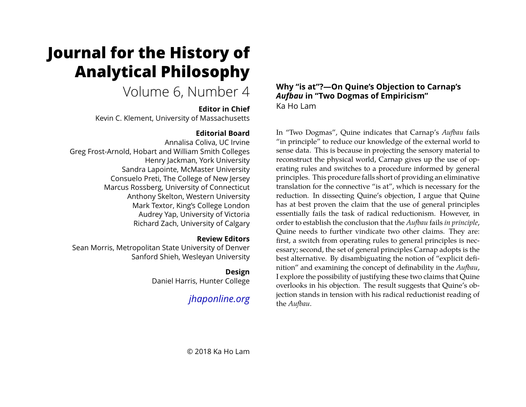# **Journal for the History of Analytical Philosophy**

## Volume 6, Number 4

#### **Editor in Chief**

Kevin C. Klement, University of Massachusetts

#### **Editorial Board**

Annalisa Coliva, UC Irvine Greg Frost-Arnold, Hobart and William Smith Colleges Henry Jackman, York University Sandra Lapointe, McMaster University Consuelo Preti, The College of New Jersey Marcus Rossberg, University of Connecticut Anthony Skelton, Western University Mark Textor, King's College London Audrey Yap, University of Victoria Richard Zach, University of Calgary

#### **Review Editors**

Sean Morris, Metropolitan State University of Denver Sanford Shieh, Wesleyan University

#### **Design**

Daniel Harris, Hunter College

### *[jhaponline.org](https://jhaponline.org)*

#### **Why "is at"?—On Quine's Objection to Carnap's** *Aufbau* **in "Two Dogmas of Empiricism"** Ka Ho Lam

In "Two Dogmas", Quine indicates that Carnap's *Aufbau* fails "in principle" to reduce our knowledge of the external world to sense data. This is because in projecting the sensory material to reconstruct the physical world, Carnap gives up the use of operating rules and switches to a procedure informed by general principles. This procedure falls short of providing an eliminative translation for the connective "is at", which is necessary for the reduction. In dissecting Quine's objection, I argue that Quine has at best proven the claim that the use of general principles essentially fails the task of radical reductionism. However, in order to establish the conclusion that the *Aufbau* fails *in principle*, Quine needs to further vindicate two other claims. They are: first, a switch from operating rules to general principles is necessary; second, the set of general principles Carnap adopts is the best alternative. By disambiguating the notion of "explicit definition" and examining the concept of definability in the *Aufbau*, I explore the possibility of justifying these two claims that Quine overlooks in his objection. The result suggests that Quine's objection stands in tension with his radical reductionist reading of the *Aufbau*.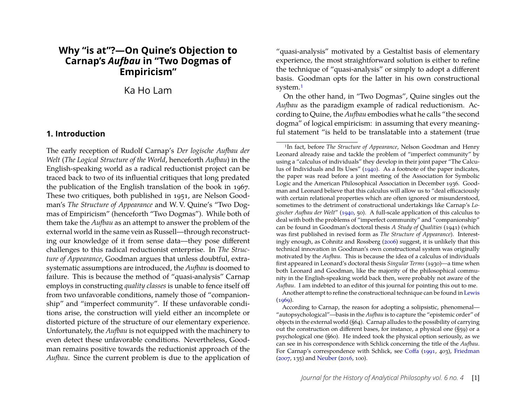#### **Why "is at"?—On Quine's Objection to Carnap's** *Aufbau* **in "Two Dogmas of Empiricism"**

Ka Ho Lam

#### **1. Introduction**

The early reception of Rudolf Carnap's *Der logische Aufbau der Welt* (*The Logical Structure of the World*, henceforth *Aufbau*) in the English-speaking world as a radical reductionist project can be traced back to two of its influential critiques that long predated the publication of the English translation of the book in 1967. These two critiques, both published in 1951, are Nelson Goodman's *The Structure of Appearance* and W. V. Quine's "Two Dogmas of Empiricism" (henceforth "Two Dogmas"). While both of them take the *Aufbau* as an attempt to answer the problem of the external world in the same vein as Russell—through reconstructing our knowledge of it from sense data—they pose different challenges to this radical reductionist enterprise. In *The Structure of Appearance*, Goodman argues that unless doubtful, extrasystematic assumptions are introduced, the *Aufbau* is doomed to failure. This is because the method of "quasi-analysis" Carnap employs in constructing *quality classes* is unable to fence itself off from two unfavorable conditions, namely those of "companionship" and "imperfect community". If these unfavorable conditions arise, the construction will yield either an incomplete or distorted picture of the structure of our elementary experience. Unfortunately, the *Aufbau* is not equipped with the machinery to even detect these unfavorable conditions. Nevertheless, Goodman remains positive towards the reductionist approach of the *Aufbau*. Since the current problem is due to the application of "quasi-analysis" motivated by a Gestaltist basis of elementary experience, the most straightforward solution is either to refine the technique of "quasi-analysis" or simply to adopt a different basis. Goodman opts for the latter in his own constructional system.[1](#page-1-0)

On the other hand, in "Two Dogmas", Quine singles out the *Aufbau* as the paradigm example of radical reductionism. According to Quine, the *Aufbau* embodies what he calls "the second dogma" of logical empiricism: in assuming that every meaningful statement "is held to be translatable into a statement (true

<span id="page-1-0"></span>1In fact, before *The Structure of Appearance*, Nelson Goodman and Henry Leonard already raise and tackle the problem of "imperfect community" by using a "calculus of individuals" they develop in their joint paper "The Calculus of Individuals and Its Uses" [\(1940\)](#page-22-0). As a footnote of the paper indicates, the paper was read before a joint meeting of the Association for Symbolic Logic and the American Philosophical Association in December 1936. Goodman and Leonard believe that this calculus will allow us to "deal efficaciously with certain relational properties which are often ignored or misunderstood, sometimes to the detriment of constructional undertakings like Carnap's *Logischer Aufbau der Welt*" [\(1940,](#page-22-0) 50). A full-scale application of this calculus to deal with both the problems of "imperfect community" and "companionship" can be found in Goodman's doctoral thesis *A Study of Qualities* (1941) (which was first published in revised form as *The Structure of Appearance*). Interestingly enough, as Cohnitz and Rossberg [\(2006\)](#page-22-1) suggest, it is unlikely that this technical innovation in Goodman's own constructional system was originally motivated by the *Aufbau*. This is because the idea of a calculus of individuals first appeared in Leonard's doctoral thesis *Singular Terms* (1930)—a time when both Leonard and Goodman, like the majority of the philosophical community in the English-speaking world back then, were probably not aware of the *Aufbau*. I am indebted to an editor of this journal for pointing this out to me.

Another attempt to refine the constructional technique can be found in [Lewis](#page-22-2)  $(1969)$ .

According to Carnap, the reason for adopting a solipsistic, phenomenal— "autopsychological"—basis in the *Aufbau* is to capture the "epistemic order" of objects in the external world (§64). Carnap alludes to the possibility of carrying out the construction on different bases, for instance, a physical one (§59) or a psychological one (§60). He indeed took the physical option seriously, as we can see in his correspondence with Schlick concerning the title of the *Aufbau*. For Carnap's correspondence with Schlick, see [Coffa](#page-22-3) [\(1991,](#page-22-3) 403), [Friedman](#page-22-4) [\(2007,](#page-22-4) 135) and [Neuber](#page-23-0) [\(2016,](#page-23-0) 100).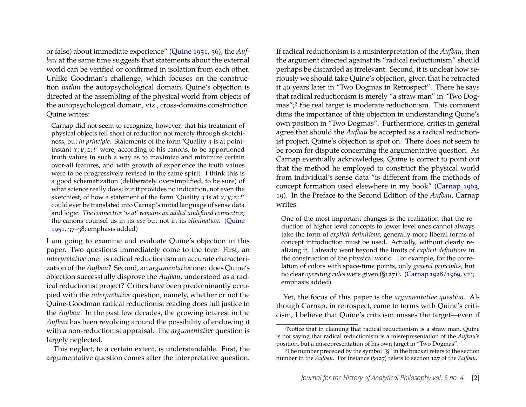or false) about immediate experience" [\(Quine 1951,](#page-23-1) 36), the *Aufbau* at the same time suggests that statements about the external world can be verified or confirmed in isolation from each other. Unlike Goodman's challenge, which focuses on the construction *within* the autopsychological domain, Quine's objection is directed at the assembling of the physical world from objects of the autopsychological domain, viz., cross-domains construction. Quine writes:

<span id="page-2-2"></span>Carnap did not seem to recognize, however, that his treatment of physical objects fell short of reduction not merely through sketchiness, but *in principle*. Statements of the form 'Quality *q* is at pointinstant  $x$ ;  $y$ ;  $z$ ;  $t'$  were, according to his canons, to be apportioned truth values in such a way as to maximize and minimize certain over-all features, and with growth of experience the truth values were to be progressively revised in the same spirit. I think this is a good schematization (deliberately oversimplified, to be sure) of what science really does; but it provides no indication, not even the sketchiest, of how a statement of the form 'Quality *q* is at *x*; *y*; *z*; *t*' could ever be translated into Carnap's initial language of sense data and logic. *The connective 'is at' remains an added undefined connective*; the canons counsel us in its *use* but not in its *elimination*. [\(Quine](#page-23-1) [1951,](#page-23-1) 37–38; emphasis added)

I am going to examine and evaluate Quine's objection in this paper. Two questions immediately come to the fore. First, an *interpretative* one: is radical reductionism an accurate characterization of the *Aufbau*? Second, an *argumentative* one: does Quine's objection successfully disprove the *Aufbau*, understood as a radical reductionist project? Critics have been predominantly occupied with the *interpretative* question, namely, whether or not the Quine-Goodman radical reductionist reading does full justice to the *Aufbau*. In the past few decades, the growing interest in the *Aufbau* has been revolving around the possibility of endowing it with a non-reductionist appraisal. The *argumentative* question is largely neglected.

This neglect, to a certain extent, is understandable. First, the argumentative question comes after the interpretative question.

If radical reductionism is a misinterpretation of the *Aufbau*, then the argument directed against its "radical reductionism" should perhaps be discarded as irrelevant. Second, it is unclear how seriously we should take Quine's objection, given that he retracted it 40 years later in "Two Dogmas in Retrospect". There he says that radical reductionism is merely "a straw man" in "Two Dogmas";[2](#page-2-0) the real target is moderate reductionism. This comment dims the importance of this objection in understanding Quine's own position in "Two Dogmas". Furthermore, critics in general agree that should the *Aufbau* be accepted as a radical reductionist project, Quine's objection is spot on. There does not seem to be room for dispute concerning the argumentative question. As Carnap eventually acknowledges, Quine is correct to point out that the method he employed to construct the physical world from individual's sense data "is different from the methods of concept formation used elsewhere in my book" [\(Carnap 1963,](#page-22-5) 19). In the Preface to the Second Edition of the *Aufbau*, Carnap writes:

<span id="page-2-3"></span>One of the most important changes is the realization that the reduction of higher level concepts to lower level ones cannot always take the form of *explicit definitions*; generally more liberal forms of concept introduction must be used. Actually, without clearly realizing it, I already went beyond the limits of *explicit definitions* in the construction of the physical world. For example, for the correlation of colors with space-time points, only *general principles*, but no clear *operating rules* were given (§127)[3](#page-2-1). [\(Carnap 1928/1969,](#page-22-6) viii; emphasis added)

Yet, the focus of this paper is the *argumentative question*. Although Carnap, in retrospect, came to terms with Quine's criticism, I believe that Quine's criticism misses the target—even if

<span id="page-2-0"></span><sup>2</sup>Notice that in claiming that radical reductionism is a straw man, Quine is not saying that radical reductionism is a misrepresentation of the *Aufbau*'s position, but a misrepresentation of his own target in "Two Dogmas".

<span id="page-2-1"></span><sup>&</sup>lt;sup>3</sup>The number preceded by the symbol "§" in the bracket refers to the section number in the *Aufbau*. For instance (§127) refers to section 127 of the *Aufbau*.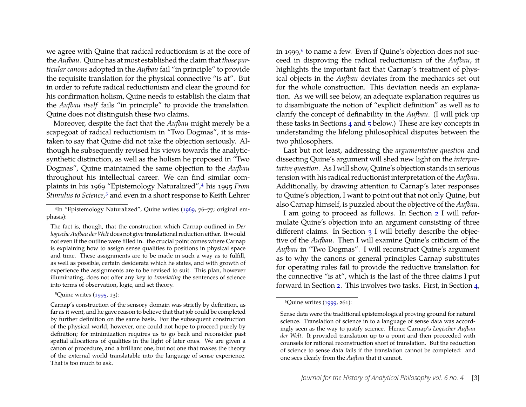we agree with Quine that radical reductionism is at the core of the *Aufbau*. Quine has at most established the claim that *those particular canons* adopted in the *Aufbau* fail "in principle" to provide the requisite translation for the physical connective "is at". But in order to refute radical reductionism and clear the ground for his confirmation holism, Quine needs to establish the claim that the *Aufbau itself* fails "in principle" to provide the translation. Quine does not distinguish these two claims.

Moreover, despite the fact that the *Aufbau* might merely be a scapegoat of radical reductionism in "Two Dogmas", it is mistaken to say that Quine did not take the objection seriously. Although he subsequently revised his views towards the analyticsynthetic distinction, as well as the holism he proposed in "Two Dogmas", Quine maintained the same objection to the *Aufbau* throughout his intellectual career. We can find similar complaints in his 1969 "Epistemology Naturalized",[4](#page-3-0) his 1995 *From Stimulus to Science*,[5](#page-3-1) and even in a short response to Keith Lehrer

<span id="page-3-1"></span>5Quine writes [\(1995,](#page-23-3) 13):

Carnap's construction of the sensory domain was strictly by definition, as far as it went, and he gave reason to believe that that job could be completed by further definition on the same basis. For the subsequent construction of the physical world, however, one could not hope to proceed purely by definition; for minimization requires us to go back and reconsider past spatial allocations of qualities in the light of later ones. We are given a canon of procedure, and a brilliant one, but not one that makes the theory of the external world translatable into the language of sense experience. That is too much to ask.

in 1999,<sup>[6](#page-3-2)</sup> to name a few. Even if Quine's objection does not succeed in disproving the radical reductionism of the *Aufbau*, it highlights the important fact that Carnap's treatment of physical objects in the *Aufbau* deviates from the mechanics set out for the whole construction. This deviation needs an explanation. As we will see below, an adequate explanation requires us to disambiguate the notion of "explicit definition" as well as to clarify the concept of definability in the *Aufbau*. (I will pick up these tasks in Sections [4](#page-8-0) and [5](#page-11-0) below.) These are key concepts in understanding the lifelong philosophical disputes between the two philosophers.

Last but not least, addressing the *argumentative question* and dissecting Quine's argument will shed new light on the *interpretative question*. As I will show, Quine's objection stands in serious tension with his radical reductionist interpretation of the *Aufbau*. Additionally, by drawing attention to Carnap's later responses to Quine's objection, I want to point out that not only Quine, but also Carnap himself, is puzzled about the objective of the *Aufbau*.

I am going to proceed as follows. In Section [2](#page-4-0) I will reformulate Quine's objection into an argument consisting of three different claims. In Section [3](#page-6-0) I will briefly describe the objective of the *Aufbau*. Then I will examine Quine's criticism of the *Aufbau* in "Two Dogmas". I will reconstruct Quine's argument as to why the canons or general principles Carnap substitutes for operating rules fail to provide the reductive translation for the connective "is at", which is the last of the three claims I put forward in Section [2.](#page-4-0) This involves two tasks. First, in Section [4,](#page-8-0)

<span id="page-3-0"></span><sup>4</sup>In "Epistemology Naturalized", Quine writes [\(1969,](#page-23-2) 76–77; original emphasis):

The fact is, though, that the construction which Carnap outlined in *Der* logische Aufbau der Welt does not give translational reduction either. It would not even if the outline were filled in. the crucial point comes where Carnap is explaining how to assign sense qualities to positions in physical space and time. These assignments are to be made in such a way as to fulfill, as well as possible, certain desiderata which he states, and with growth of experience the assignments are to be revised to suit. This plan, however illuminating, does not offer any key to *translating* the sentences of science into terms of observation, logic, and set theory.

<span id="page-3-2"></span><sup>6</sup>Quine writes [\(1999,](#page-23-4) 261):

Sense data were the traditional epistemological proving ground for natural science. Translation of science in to a language of sense data was accordingly seen as the way to justify science. Hence Carnap's *Logischer Aufbau der Welt*. It provided translation up to a point and then proceeded with counsels for rational reconstruction short of translation. But the reduction of science to sense data fails if the translation cannot be completed: and one sees clearly from the *Aufbau* that it cannot.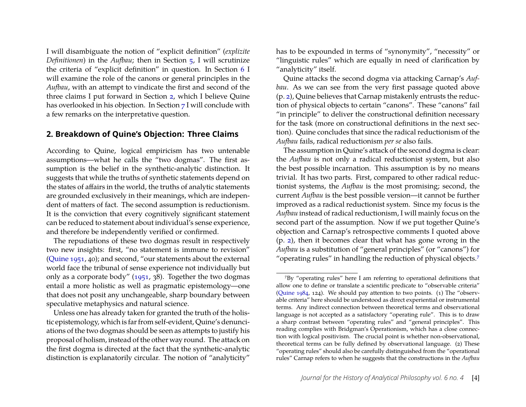I will disambiguate the notion of "explicit definition" (*explizite Definitionen*) in the *Aufbau*; then in Section [5,](#page-11-0) I will scrutinize the criteria of "explicit definition" in question. In Section [6](#page-15-0) I will examine the role of the canons or general principles in the *Aufbau*, with an attempt to vindicate the first and second of the three claims I put forward in Section [2,](#page-4-0) which I believe Quine has overlooked in his objection. In Section [7](#page-19-0) I will conclude with a few remarks on the interpretative question.

#### <span id="page-4-0"></span>**2. Breakdown of Quine's Objection: Three Claims**

According to Quine, logical empiricism has two untenable assumptions—what he calls the "two dogmas". The first assumption is the belief in the synthetic-analytic distinction. It suggests that while the truths of synthetic statements depend on the states of affairs in the world, the truths of analytic statements are grounded exclusively in their meanings, which are independent of matters of fact. The second assumption is reductionism. It is the conviction that every cognitively significant statement can be reduced to statement about individual's sense experience, and therefore be independently verified or confirmed.

The repudiations of these two dogmas result in respectively two new insights: first, "no statement is immune to revision" [\(Quine 1951,](#page-23-1) 40); and second, "our statements about the external world face the tribunal of sense experience not individually but only as a corporate body" [\(1951,](#page-23-1) 38). Together the two dogmas entail a more holistic as well as pragmatic epistemology—one that does not posit any unchangeable, sharp boundary between speculative metaphysics and natural science.

Unless one has already taken for granted the truth of the holistic epistemology, which is far from self-evident, Quine's denunciations of the two dogmas should be seen as attempts to justify his proposal of holism, instead of the other way round. The attack on the first dogma is directed at the fact that the synthetic-analytic distinction is explanatorily circular. The notion of "analyticity"

has to be expounded in terms of "synonymity", "necessity" or "linguistic rules" which are equally in need of clarification by "analyticity" itself.

Quine attacks the second dogma via attacking Carnap's *Aufbau*. As we can see from the very first passage quoted above (p. [2\)](#page-2-2), Quine believes that Carnap mistakenly entrusts the reduction of physical objects to certain "canons". These "canons" fail "in principle" to deliver the constructional definition necessary for the task (more on constructional definitions in the next section). Quine concludes that since the radical reductionism of the *Aufbau* fails, radical reductionism *per se* also fails.

The assumption in Quine's attack of the second dogma is clear: the *Aufbau* is not only a radical reductionist system, but also the best possible incarnation. This assumption is by no means trivial. It has two parts. First, compared to other radical reductionist systems, the *Aufbau* is the most promising; second, the current *Aufbau* is the best possible version—it cannot be further improved as a radical reductionist system. Since my focus is the *Aufbau* instead of radical reductionism, I will mainly focus on the second part of the assumption. Now if we put together Quine's objection and Carnap's retrospective comments I quoted above (p. [2\)](#page-2-3), then it becomes clear that what has gone wrong in the *Aufbau* is a substitution of "general principles" (or "canons") for "operating rules" in handling the reduction of physical objects.[7](#page-4-1)

<span id="page-4-1"></span><sup>7</sup>By "operating rules" here I am referring to operational definitions that allow one to define or translate a scientific predicate to "observable criteria" [\(Quine 1984,](#page-23-5) 124). We should pay attention to two points. (1) The "observable criteria" here should be understood as direct experiential or instrumental terms. Any indirect connection between theoretical terms and observational language is not accepted as a satisfactory "operating rule". This is to draw a sharp contrast between "operating rules" and "general principles". This reading complies with Bridgman's Operationism, which has a close connection with logical positivism. The crucial point is whether non-observational, theoretical terms can be fully defined by observational language. (2) These "operating rules" should also be carefully distinguished from the "operational rules" Carnap refers to when he suggests that the constructions in the *Aufbau*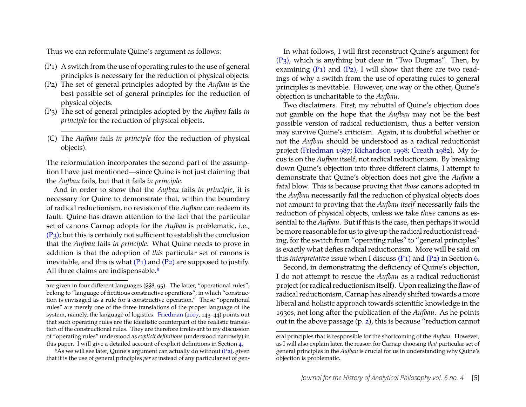Thus we can reformulate Quine's argument as follows:

- <span id="page-5-1"></span>(P1) A switch from the use of operating rules to the use of general principles is necessary for the reduction of physical objects.
- <span id="page-5-2"></span>(P2) The set of general principles adopted by the *Aufbau* is the best possible set of general principles for the reduction of physical objects.
- <span id="page-5-0"></span>(P3) The set of general principles adopted by the *Aufbau* fails *in principle* for the reduction of physical objects.
- (C) The *Aufbau* fails *in principle* (for the reduction of physical objects).

The reformulation incorporates the second part of the assumption I have just mentioned—since Quine is not just claiming that the *Aufbau* fails, but that it fails *in principle*.

And in order to show that the *Aufbau* fails *in principle*, it is necessary for Quine to demonstrate that, within the boundary of radical reductionism, no revision of the *Aufbau* can redeem its fault. Quine has drawn attention to the fact that the particular set of canons Carnap adopts for the *Aufbau* is problematic, i.e., [\(P3\);](#page-5-0) but this is certainly not sufficient to establish the conclusion that the *Aufbau* fails *in principle*. What Quine needs to prove in addition is that the adoption of *this* particular set of canons is inevitable, and this is what  $(P_1)$  and  $(P_2)$  are supposed to justify. All three claims are indispensable.<sup>[8](#page-5-3)</sup>

<span id="page-5-3"></span> $8\overline{\text{As}}$  we will see later, Quine's argument can actually do without [\(P2\),](#page-5-2) given that it is the use of general principles *per se* instead of any particular set of gen-

In what follows, I will first reconstruct Quine's argument for [\(P3\),](#page-5-0) which is anything but clear in "Two Dogmas". Then, by examining  $(P_1)$  and  $(P_2)$ , I will show that there are two readings of why a switch from the use of operating rules to general principles is inevitable. However, one way or the other, Quine's objection is uncharitable to the *Aufbau*.

Two disclaimers. First, my rebuttal of Quine's objection does not gamble on the hope that the *Aufbau* may not be the best possible version of radical reductionism, thus a better version may survive Quine's criticism. Again, it is doubtful whether or not the *Aufbau* should be understood as a radical reductionist project [\(Friedman 1987;](#page-22-7) [Richardson 1998;](#page-23-6) [Creath 1982\)](#page-22-8). My focus is on the *Aufbau* itself, not radical reductionism. By breaking down Quine's objection into three different claims, I attempt to demonstrate that Quine's objection does not give the *Aufbau* a fatal blow. This is because proving that *those* canons adopted in the *Aufbau* necessarily fail the reduction of physical objects does not amount to proving that the *Aufbau itself* necessarily fails the reduction of physical objects, unless we take *those* canons as essential to the *Aufbau*. But if this is the case, then perhaps it would be more reasonable for us to give up the radical reductionist reading, for the switch from "operating rules" to "general principles" is exactly what defies radical reductionism. More will be said on this *interpretative* issue when I discuss [\(P1\)](#page-5-1) and [\(P2\)](#page-5-2) in Section [6.](#page-15-0)

Second, in demonstrating the deficiency of Quine's objection, I do not attempt to rescue the *Aufbau* as a radical reductionist project (or radical reductionism itself). Upon realizing the flaw of radical reductionism, Carnap has already shifted towards a more liberal and holistic approach towards scientific knowledge in the 1930s, not long after the publication of the *Aufbau*. As he points out in the above passage (p. [2\)](#page-2-3), this is because "reduction cannot

are given in four different languages (§§8, 95). The latter, "operational rules", belong to "language of fictitious constructive operations", in which "construction is envisaged as a rule for a constructive operation." These "operational rules" are merely one of the three translations of the proper language of the system, namely, the language of logistics. [Friedman](#page-22-4) [\(2007,](#page-22-4) 143–44) points out that such operating rules are the idealistic counterpart of the realistic translation of the constructional rules. They are therefore irrelevant to my discussion of "operating rules" understood as *explicit definitions* (understood narrowly) in this paper. I will give a detailed account of explicit definitions in Section [4.](#page-8-0)

eral principles that is responsible for the shortcoming of the *Aufbau*. However, as I will also explain later, the reason for Carnap choosing *that* particular set of general principles in the *Aufbau* is crucial for us in understanding why Quine's objection is problematic.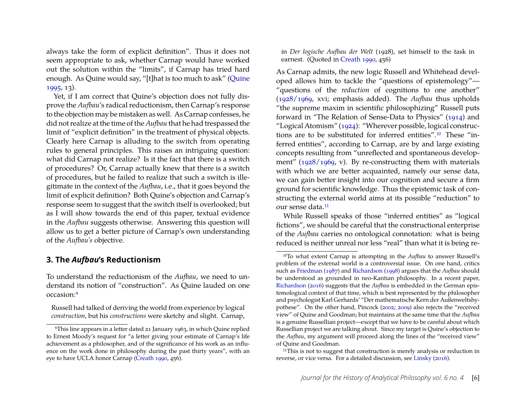always take the form of explicit definition". Thus it does not seem appropriate to ask, whether Carnap would have worked out the solution within the "limits", if Carnap has tried hard enough. As Quine would say, "[t]hat is too much to ask" [\(Quine](#page-23-3) [1995,](#page-23-3) 13).

Yet, if I am correct that Quine's objection does not fully disprove the *Aufbau*'s radical reductionism, then Carnap's response to the objection may be mistaken as well. As Carnap confesses, he did not realize at the time of the *Aufbau* that he had trespassed the limit of "explicit definition" in the treatment of physical objects. Clearly here Carnap is alluding to the switch from operating rules to general principles. This raises an intriguing question: what did Carnap not realize? Is it the fact that there is a switch of procedures? Or, Carnap actually knew that there is a switch of procedures, but he failed to realize that such a switch is illegitimate in the context of the *Aufbau*, i.e., that it goes beyond the limit of explicit definition? Both Quine's objection and Carnap's response seem to suggest that the switch itself is overlooked; but as I will show towards the end of this paper, textual evidence in the *Aufbau* suggests otherwise. Answering this question will allow us to get a better picture of Carnap's own understanding of the *Aufbau's* objective.

#### <span id="page-6-0"></span>**3. The** *Aufbau***'s Reductionism**

To understand the reductionism of the *Aufbau*, we need to understand its notion of "construction". As Quine lauded on one occasion:[9](#page-6-1)

Russell had talked of deriving the world from experience by logical *construction*, but his *constructions* were sketchy and slight. Carnap, in *Der logische Aufbau der Welt* (1928), set himself to the task in earnest. (Quoted in [Creath 1990,](#page-22-9) 456)

As Carnap admits, the new logic Russell and Whitehead developed allows him to tackle the "questions of epistemology"— "questions of the *reduction* of cognitions to one another" [\(1928/1969,](#page-22-6) xvi; emphasis added). The *Aufbau* thus upholds "the supreme maxim in scientific philosophizing" Russell puts forward in "The Relation of Sense-Data to Physics" [\(1914\)](#page-23-7) and "Logical Atomism" [\(1924\)](#page-23-8): "Wherever possible, logical constructions are to be substituted for inferred entities".[10](#page-6-2) These "inferred entities", according to Carnap, are by and large existing concepts resulting from "unreflected and spontaneous develop-ment" [\(1928/1969,](#page-22-6) v). By re-constructing them with materials with which we are better acquainted, namely our sense data, we can gain better insight into our cognition and secure a firm ground for scientific knowledge. Thus the epistemic task of constructing the external world aims at its possible "reduction" to our sense data.[11](#page-6-3)

While Russell speaks of those "inferred entities" as "logical fictions", we should be careful that the constructional enterprise of the *Aufbau* carries no ontological connotation: what is being reduced is neither unreal nor less "real" than what it is being re-

<span id="page-6-1"></span><sup>9</sup>This line appears in a letter dated 21 January 1963, in which Quine replied to Ernest Moody's request for "a letter giving your estimate of Carnap's life achievement as a philosopher, and of the significance of his work as an influence on the work done in philosophy during the past thirty years", with an eye to have UCLA honor Carnap [\(Creath 1990,](#page-22-9) 456).

<span id="page-6-2"></span><sup>10</sup>To what extent Carnap is attempting in the *Aufbau* to answer Russell's problem of the external world is a controversial issue. On one hand, critics such as [Friedman](#page-22-7) [\(1987\)](#page-22-7) and [Richardson](#page-23-6) [\(1998\)](#page-23-6) argues that the *Aufbau* should be understood as grounded in neo-Kantian philosophy. In a recent paper, [Richardson](#page-23-9) [\(2016\)](#page-23-9) suggests that the *Aufbau* is embedded in the German epistemological context of that time, which is best represented by the philosopher and psychologist Karl Gerhards' "Der mathematische Kern der Außenweltshypothese". On the other hand, Pincock [\(2002;](#page-23-10) [2009\)](#page-23-11) also rejects the "received view" of Quine and Goodman; but maintains at the same time that the *Aufbau* is a genuine Russellian project—except that we have to be careful about which Russellian project we are talking about. Since my target is Quine's objection to the *Aufbau*, my argument will proceed along the lines of the "received view" of Quine and Goodman.

<span id="page-6-3"></span><sup>&</sup>lt;sup>11</sup>This is not to suggest that construction is merely analysis or reduction in reverse, or vice versa. For a detailed discussion, see [Linsky](#page-22-10) [\(2016\)](#page-22-10).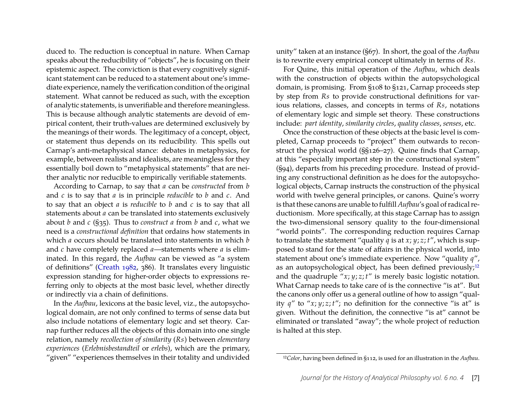duced to. The reduction is conceptual in nature. When Carnap speaks about the reducibility of "objects", he is focusing on their epistemic aspect. The conviction is that every cognitively significant statement can be reduced to a statement about one's immediate experience, namely the verification condition of the original statement. What cannot be reduced as such, with the exception of analytic statements, is unverifiable and therefore meaningless. This is because although analytic statements are devoid of empirical content, their truth-values are determined exclusively by the meanings of their words. The legitimacy of a concept, object, or statement thus depends on its reducibility. This spells out Carnap's anti-metaphysical stance: debates in metaphysics, for example, between realists and idealists, are meaningless for they essentially boil down to "metaphysical statements" that are neither analytic nor reducible to empirically verifiable statements.

According to Carnap, to say that *a* can be *constructed* from *b* and *c* is to say that *a* is in principle *reducible* to *b* and *c*. And to say that an object *a* is *reducible* to *b* and *c* is to say that all statements about *a* can be translated into statements exclusively about *b* and *c* (§35). Thus to *construct a* from *b* and *c*, what we need is a *constructional definition* that ordains how statements in which *a* occurs should be translated into statements in which *b* and *c* have completely replaced *a*—statements where *a* is eliminated. In this regard, the *Aufbau* can be viewed as "a system of definitions" [\(Creath 1982,](#page-22-8) 386). It translates every linguistic expression standing for higher-order objects to expressions referring only to objects at the most basic level, whether directly or indirectly via a chain of definitions.

In the *Aufbau*, lexicons at the basic level, viz., the autopsychological domain, are not only confined to terms of sense data but also include notations of elementary logic and set theory. Carnap further reduces all the objects of this domain into one single relation, namely *recollection of similarity* (*Rs*) between *elementary experiences* (*Erlebnisbestandteil* or *erlebs*), which are the primary, "given" "experiences themselves in their totality and undivided unity" taken at an instance (§67). In short, the goal of the *Aufbau* is to rewrite every empirical concept ultimately in terms of *Rs*.

For Quine, this initial operation of the *Aufbau*, which deals with the construction of objects within the autopsychological domain, is promising. From §108 to §121, Carnap proceeds step by step from *Rs* to provide constructional definitions for various relations, classes, and concepts in terms of *Rs*, notations of elementary logic and simple set theory. These constructions include: *part identity*, *similarity circles*, *quality classes*, *senses*, etc.

Once the construction of these objects at the basic level is completed, Carnap proceeds to "project" them outwards to reconstruct the physical world (§§126–27). Quine finds that Carnap, at this "especially important step in the constructional system" (§94), departs from his preceding procedure. Instead of providing any constructional definition as he does for the autopsychological objects, Carnap instructs the construction of the physical world with twelve general principles, or canons. Quine's worry is that these canons are unable to fulfill *Aufbau*'s goal of radical reductionism. More specifically, at this stage Carnap has to assign the two-dimensional sensory quality to the four-dimensional "world points". The corresponding reduction requires Carnap to translate the statement "quality *q* is at *x*; *y*; *z*; *t*", which is supposed to stand for the state of affairs in the physical world, into statement about one's immediate experience. Now "quality *q*", as an autopsychological object, has been defined previously; $12$ and the quadruple "*x*; *y*; *z*; *t*" is merely basic logistic notation. What Carnap needs to take care of is the connective "is at". But the canons only offer us a general outline of how to assign "quality  $q''$  to "x;  $y$ ;  $z$ ;  $t''$ ; no definition for the connective "is at" is given. Without the definition, the connective "is at" cannot be eliminated or translated "away"; the whole project of reduction is halted at this step.

<span id="page-7-0"></span><sup>12</sup>*Color*, having been defined in §112, is used for an illustration in the *Aufbau*.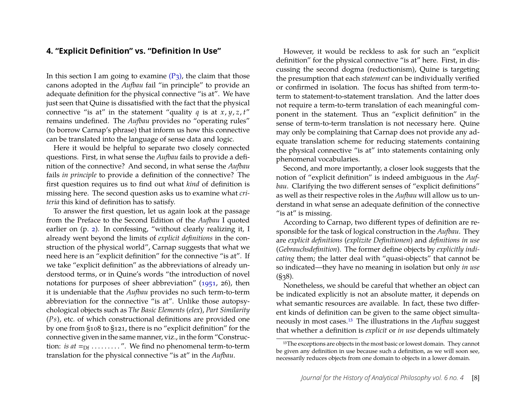#### <span id="page-8-0"></span>**4. "Explicit Definition" vs. "Definition In Use"**

In this section I am going to examine  $(P_3)$ , the claim that those canons adopted in the *Aufbau* fail "in principle" to provide an adequate definition for the physical connective "is at". We have just seen that Quine is dissatisfied with the fact that the physical connective "is at" in the statement "quality *q* is at  $x, y, z, t$ " remains undefined. The *Aufbau* provides no "operating rules" (to borrow Carnap's phrase) that inform us how this connective can be translated into the language of sense data and logic.

Here it would be helpful to separate two closely connected questions. First, in what sense the *Aufbau* fails to provide a definition of the connective? And second, in what sense the *Aufbau* fails *in principle* to provide a definition of the connective? The first question requires us to find out what *kind* of definition is missing here. The second question asks us to examine what *criteria* this kind of definition has to satisfy.

To answer the first question, let us again look at the passage from the Preface to the Second Edition of the *Aufbau* I quoted earlier on (p. [2\)](#page-2-3). In confessing, "without clearly realizing it, I already went beyond the limits of *explicit definitions* in the construction of the physical world", Carnap suggests that what we need here is an "explicit definition" for the connective "is at". If we take "explicit definition" as the abbreviations of already understood terms, or in Quine's words "the introduction of novel notations for purposes of sheer abbreviation" [\(1951,](#page-23-1) 26), then it is undeniable that the *Aufbau* provides no such term-to-term abbreviation for the connective "is at". Unlike those autopsychological objects such as *The Basic Elements* (*elex*), *Part Similarity* (*Ps*), etc. of which constructional definitions are provided one by one from §108 to §121, there is no "explicit definition" for the connective given in the same manner, viz., in the form "Construction: *is at*  $=_{Df}$  . . . . . . . . . ". We find no phenomenal term-to-term translation for the physical connective "is at" in the *Aufbau*.

However, it would be reckless to ask for such an "explicit definition" for the physical connective "is at" here. First, in discussing the second dogma (reductionism), Quine is targeting the presumption that each *statement* can be individually verified or confirmed in isolation. The focus has shifted from term-toterm to statement-to-statement translation. And the latter does not require a term-to-term translation of each meaningful component in the statement. Thus an "explicit definition" in the sense of term-to-term translation is not necessary here. Quine may only be complaining that Carnap does not provide any adequate translation scheme for reducing statements containing the physical connective "is at" into statements containing only phenomenal vocabularies.

Second, and more importantly, a closer look suggests that the notion of "explicit definition" is indeed ambiguous in the *Aufbau*. Clarifying the two different senses of "explicit definitions" as well as their respective roles in the *Aufbau* will allow us to understand in what sense an adequate definition of the connective "is at" is missing.

According to Carnap, two different types of definition are responsible for the task of logical construction in the *Aufbau*. They are *explicit definitions* (*explizite Definitionen*) and *definitions in use* (*Gebrauchsdefinition*). The former define objects by *explicitly indicating* them; the latter deal with "quasi-objects" that cannot be so indicated—they have no meaning in isolation but only *in use*  $(S<sub>38</sub>)$ .

Nonetheless, we should be careful that whether an object can be indicated explicitly is not an absolute matter, it depends on what semantic resources are available. In fact, these two different kinds of definition can be given to the same object simultaneously in most cases.[13](#page-8-1) The illustrations in the *Aufbau* suggest that whether a definition is *explicit* or *in use* depends ultimately

<span id="page-8-1"></span><sup>&</sup>lt;sup>13</sup>The exceptions are objects in the most basic or lowest domain. They cannot be given any definition in use because such a definition, as we will soon see, necessarily reduces objects from one domain to objects in a lower domain.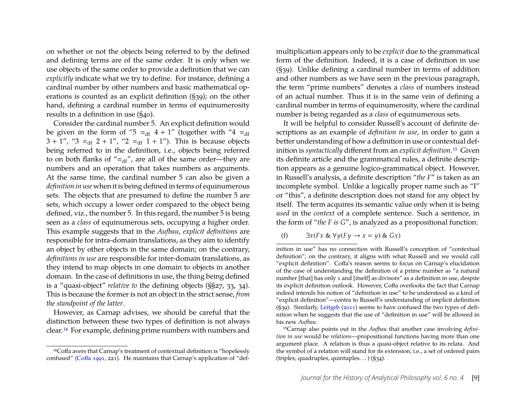on whether or not the objects being referred to by the defined and defining terms are of the same order. It is only when we use objects of the same order to provide a definition that we can *explicitly* indicate what we try to define. For instance, defining a cardinal number by other numbers and basic mathematical operations is counted as an explicit definition (§39); on the other hand, defining a cardinal number in terms of equinumerosity results in a definition in use (§40).

Consider the cardinal number 5. An explicit definition would be given in the form of "5 = df 4 + 1" (together with "4 = df  $3 + 1''$ , " $3 = df \ 2 + 1''$ , " $2 = df \ 1 + 1''$ ). This is because objects being referred to in the definition, i.e., objects being referred to on both flanks of " $=_{df}$ ", are all of the same order—they are numbers and an operation that takes numbers as arguments. At the same time, the cardinal number 5 can also be given a *definition in use* when it is being defined in terms of equinumerous sets. The objects that are presumed to define the number 5 are sets, which occupy a lower order compared to the object being defined, viz., the number 5. In this regard, the number 5 is being seen as a *class* of equinumerous sets, occupying a higher order. This example suggests that in the *Aufbau*, *explicit definitions* are responsible for intra-domain translations, as they aim to identify an object by other objects in the same domain; on the contrary, *definitions in use* are responsible for inter-domain translations, as they intend to map objects in one domain to objects in another domain. In the case of definitions in use, the thing being defined is a "quasi-object" *relative to* the defining objects (§§27, 33, 34). This is because the former is not an object in the strict sense, *from the standpoint of the latter*.

However, as Carnap advises, we should be careful that the distinction between these two types of definition is not always clear.[14](#page-9-0) For example, defining prime numbers with numbers and

multiplication appears only to be *explicit* due to the grammatical form of the definition. Indeed, it is a case of definition in use (§39). Unlike defining a cardinal number in terms of addition and other numbers as we have seen in the previous paragraph, the term "prime numbers" denotes a *class* of numbers instead of an actual number. Thus it is in the same vein of defining a cardinal number in terms of equinumerosity, where the cardinal number is being regarded as a *class* of equinumerous sets.

It will be helpful to consider Russell's account of definite descriptions as an example of *definition in use*, in order to gain a better understanding of how a definition in use or contextual definition is *syntactically* different from an *explicit definition*.[15](#page-9-1) Given its definite article and the grammatical rules, a definite description appears as a genuine logico-grammatical object. However, in Russell's analysis, a definite description "*the F*" is taken as an incomplete symbol. Unlike a logically proper name such as "I" or "this", a definite description does not stand for any object by itself. The term acquires its semantic value only when it is being *used* in the *context* of a complete sentence. Such a sentence, in the form of "*the F is G*", is analyzed as a propositional function:

<span id="page-9-2"></span>(f) 
$$
\exists x (Fx & \forall y (Fy \rightarrow x = y) & Gx)
$$

inition in use" has no connection with Russell's conception of "contextual definition"; on the contrary, it aligns with what Russell and we would call "explicit definition". Coffa's reason seems to focus on Carnap's elucidation of the case of understanding the definition of a prime number as "a natural number [that] has only 1 and [itself] as divisors" as a definition in use, despite its explicit definition outlook. However, Coffa overlooks the fact that Carnap indeed intends his notion of "definition in use" to be understood as a kind of "explicit definition"—contra to Russell's understanding of implicit definition (§39). Similarly, [Leitgeb](#page-22-11) [\(2011\)](#page-22-11) seems to have confused the two types of definition when he suggests that the use of "definition in use" will be allowed in his new *Aufbau*.

<span id="page-9-1"></span>15Carnap also points out in the *Aufbau* that another case involving *definition in use* would be *relations*—propositional functions having more than one argument place. A relation is thus a quasi-object relative to its relata. And the symbol of a relation will stand for its extension, i.e., a set of ordered pairs (triples, quadruples, quintuples. . . ) (§34).

<span id="page-9-0"></span><sup>14</sup>Coffa avers that Carnap's treatment of contextual definition is "hopelessly confused" [\(Coffa 1991,](#page-22-3) 221). He maintains that Carnap's application of "def-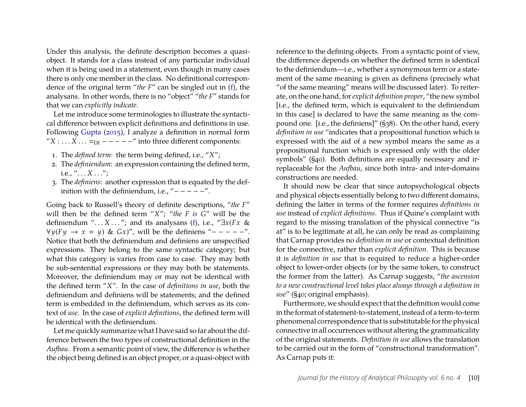Under this analysis, the definite description becomes a quasiobject. It stands for a class instead of any particular individual when it is being used in a statement, even though in many cases there is only one member in the class. No definitional correspondence of the original term "*the F*" can be singled out in [\(f\)](#page-9-2), the analysans. In other words, there is no "object" "*the F*" stands for that we can *explicitly indicate*.

Let me introduce some terminologies to illustrate the syntactical difference between explicit definitions and definitions in use. Following [Gupta](#page-22-12) [\(2015\)](#page-22-12), I analyze a definition in normal form " $X: \ldots X: \ldots =p_f --- - -$ " into three different components:

- 1. The *defined term*: the term being defined, i.e., "*X*";
- 2. The *definiendum*: an expression containing the defined term, i.e., ". . . *X* . . .";
- 3. The *definiens*: another expression that is equated by the definition with the definiendum, i.e., " $-$  -  $-$  -".

Going back to Russell's theory of definite descriptions, "*the F*" will then be the defined term "*X*"; "*the F is G*" will be the definiendum ". . . *<sup>X</sup>* . . . "; and its analysans [\(f\)](#page-9-2), i.e., "∃*x*(*Fx* &  $∀y(Fy → x = y)$  & *Gx*)", will be the definiens "-----". Notice that both the definiendum and definiens are unspecified expressions. They belong to the same syntactic category; but what this category is varies from case to case. They may both be sub-sentential expressions or they may both be statements. Moreover, the definiendum may or may not be identical with the defined term "*X*". In the case of *definitions in use*, both the definiendum and definiens will be statements; and the defined term is embedded in the definiendum, which serves as its context of *use*. In the case of *explicit definitions*, the defined term will be identical with the definiendum.

Let me quickly summarize what I have said so far about the difference between the two types of constructional definition in the *Aufbau*. From a semantic point of view, the difference is whether the object being defined is an object proper, or a quasi-object with

reference to the defining objects. From a syntactic point of view, the difference depends on whether the defined term is identical to the definiendum—i.e., whether a synonymous term or a statement of the same meaning is given as definens (precisely what "of the same meaning" means will be discussed later). To reiterate, on the one hand, for*explicit definition proper*, "the new symbol [i.e., the defined term, which is equivalent to the definiendum in this case] is declared to have the same meaning as the compound one. [i.e., the definiens]" (§38). On the other hand, every *definition in use* "indicates that a propositional function which is expressed with the aid of a new symbol means the same as a propositional function which is expressed only with the older symbols" (§40). Both definitions are equally necessary and irreplaceable for the *Aufbau*, since both intra- and inter-domains constructions are needed.

It should now be clear that since autopsychological objects and physical objects essentially belong to two different domains, defining the latter in terms of the former requires *definitions in use* instead of *explicit definitions*. Thus if Quine's complaint with regard to the missing translation of the physical connective "is at" is to be legitimate at all, he can only be read as complaining that Carnap provides no *definition in use* or contextual definition for the connective, rather than *explicit definition*. This is because it is *definition in use* that is required to reduce a higher-order object to lower-order objects (or by the same token, to construct the former from the latter). As Carnap suggests, "*the ascension to a new constructional level takes place always through a definition in use*" (§40; original emphasis).

Furthermore, we should expect that the definition would come in the format of statement-to-statement, instead of a term-to-term phenomenal correspondence that is substitutable for the physical connective in all occurrences without altering the grammaticality of the original statements. *Definition in use* allows the translation to be carried out in the form of "constructional transformation". As Carnap puts it: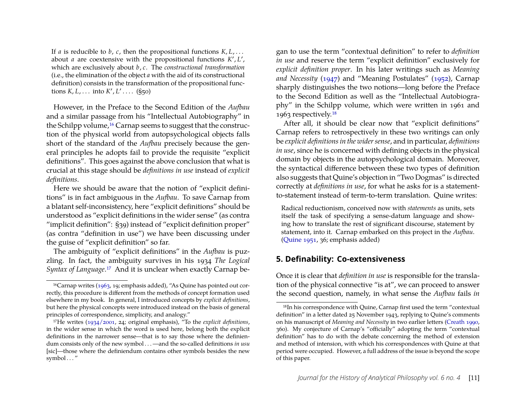If *a* is reducible to *b*, *c*, then the propositional functions *K*, *L*, . . . about *a* are coextensive with the propositional functions *K'*, *L'*, which are exclusively about *b*, *c*. The *constructional transformation* (i.e., the elimination of the object *a* with the aid of its constructional definition) consists in the transformation of the propositional functions  $K, L, \ldots$  into  $K', L' \ldots$ . (§50)

However, in the Preface to the Second Edition of the *Aufbau* and a similar passage from his "Intellectual Autobiography" in the Schilpp volume,<sup>[16](#page-11-1)</sup> Carnap seems to suggest that the construction of the physical world from autopsychological objects falls short of the standard of the *Aufbau* precisely because the general principles he adopts fail to provide the requisite "explicit definitions". This goes against the above conclusion that what is crucial at this stage should be *definitions in use* instead of *explicit definitions*.

Here we should be aware that the notion of "explicit definitions" is in fact ambiguous in the *Aufbau*. To save Carnap from a blatant self-inconsistency, here "explicit definitions" should be understood as "explicit definitions in the wider sense" (as contra "implicit definition": §39) instead of "explicit definition proper" (as contra "definition in use") we have been discussing under the guise of "explicit definition" so far.

The ambiguity of "explicit definitions" in the *Aufbau* is puzzling. In fact, the ambiguity survives in his 1934 *The Logical Syntax of Language*.[17](#page-11-2) And it is unclear when exactly Carnap began to use the term "contextual definition" to refer to *definition in use* and reserve the term "explicit definition" exclusively for *explicit definition proper*. In his later writings such as *Meaning and Necessity* [\(1947\)](#page-22-14) and "Meaning Postulates" [\(1952\)](#page-22-15), Carnap sharply distinguishes the two notions—long before the Preface to the Second Edition as well as the "Intellectual Autobiography" in the Schilpp volume, which were written in 1961 and 1963 respectively.[18](#page-11-3)

After all, it should be clear now that "explicit definitions" Carnap refers to retrospectively in these two writings can only be *explicit definitions in the wider sense*, and in particular, *definitions in use*, since he is concerned with defining objects in the physical domain by objects in the autopsychological domain. Moreover, the syntactical difference between these two types of definition also suggests that Quine's objection in "Two Dogmas" is directed correctly at *definitions in use*, for what he asks for is a statementto-statement instead of term-to-term translation. Quine writes:

Radical reductionism, conceived now with *statements* as units, sets itself the task of specifying a sense-datum language and showing how to translate the rest of significant discourse, statement by statement, into it. Carnap embarked on this project in the *Aufbau*. [\(Quine 1951,](#page-23-1) 36; emphasis added)

#### <span id="page-11-0"></span>**5. Definability: Co-extensiveness**

Once it is clear that *definition in use* is responsible for the translation of the physical connective "is at", we can proceed to answer the second question, namely, in what sense the *Aufbau* fails *in*

<span id="page-11-1"></span><sup>16</sup>Carnap writes [\(1963,](#page-22-5) 19; emphasis added), "As Quine has pointed out correctly, this procedure is different from the methods of concept formation used elsewhere in my book. In general, I introduced concepts by *explicit definitions*, but here the physical concepts were introduced instead on the basis of general principles of correspondence, simplicity, and analogy."

<span id="page-11-2"></span><sup>17</sup>He writes [\(1934/2001,](#page-22-13) 24; original emphasis), "To the *explicit definitions*, in the wider sense in which the word is used here, belong both the explicit definitions in the narrower sense—that is to say those where the definiendum consists only of the new symbol . . . —and the so-called definitions *in usu* [sic]—those where the definiendum contains other symbols besides the new symbol . . . "

<span id="page-11-3"></span><sup>18</sup>In his correspondence with Quine, Carnap first used the term "contextual definition" in a letter dated 25 November 1943, replying to Quine's comments on his manuscript of *Meaning and Necessity* in two earlier letters [\(Creath 1990,](#page-22-9) 360). My conjecture of Carnap's "officially" adopting the term "contextual definition" has to do with the debate concerning the method of extension and method of intension, with which his correspondences with Quine at that period were occupied. However, a full address of the issue is beyond the scope of this paper.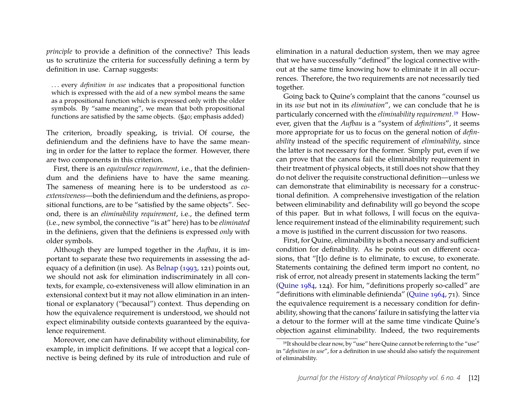*principle* to provide a definition of the connective? This leads us to scrutinize the criteria for successfully defining a term by definition in use. Carnap suggests:

. . . every *definition in use* indicates that a propositional function which is expressed with the aid of a new symbol means the same as a propositional function which is expressed only with the older symbols. By "same meaning", we mean that both propositional functions are satisfied by the same objects. (§40; emphasis added)

The criterion, broadly speaking, is trivial. Of course, the definiendum and the definiens have to have the same meaning in order for the latter to replace the former. However, there are two components in this criterion.

First, there is an *equivalence requirement*, i.e., that the definiendum and the definiens have to have the same meaning. The sameness of meaning here is to be understood as *coextensiveness*—both the definiendum and the definiens, as propositional functions, are to be "satisfied by the same objects". Second, there is an *eliminability requirement*, i.e., the defined term (i.e., new symbol, the connective "is at" here) has to be *eliminated* in the definiens, given that the definiens is expressed *only* with older symbols.

Although they are lumped together in the *Aufbau*, it is important to separate these two requirements in assessing the adequacy of a definition (in use). As [Belnap](#page-22-16) [\(1993,](#page-22-16) 121) points out, we should not ask for elimination indiscriminately in all contexts, for example, co-extensiveness will allow elimination in an extensional context but it may not allow elimination in an intentional or explanatory ("becausal") context. Thus depending on how the equivalence requirement is understood, we should not expect eliminability outside contexts guaranteed by the equivalence requirement.

Moreover, one can have definability without eliminability, for example, in implicit definitions. If we accept that a logical connective is being defined by its rule of introduction and rule of elimination in a natural deduction system, then we may agree that we have successfully "defined" the logical connective without at the same time knowing how to eliminate it in all occurrences. Therefore, the two requirements are not necessarily tied together.

Going back to Quine's complaint that the canons "counsel us in its *use* but not in its *elimination*", we can conclude that he is particularly concerned with the *eliminability requirement*.[19](#page-12-0) However, given that the *Aufbau* is a "system of *definitions*", it seems more appropriate for us to focus on the general notion of *definability* instead of the specific requirement of *eliminability*, since the latter is not necessary for the former. Simply put, even if we can prove that the canons fail the eliminability requirement in their treatment of physical objects, it still does not show that they do not deliver the requisite constructional definition—unless we can demonstrate that eliminability is necessary for a constructional definition. A comprehensive investigation of the relation between eliminability and definability will go beyond the scope of this paper. But in what follows, I will focus on the equivalence requirement instead of the eliminability requirement; such a move is justified in the current discussion for two reasons.

First, for Quine, eliminability is both a necessary and sufficient condition for definability. As he points out on different occasions, that "[t]o define is to eliminate, to excuse, to exonerate. Statements containing the defined term import no content, no risk of error, not already present in statements lacking the term" [\(Quine 1984,](#page-23-5) 124). For him, "definitions properly so-called" are "definitions with eliminable definienda" [\(Quine 1964,](#page-23-12) 71). Since the equivalence requirement is a necessary condition for definability, showing that the canons' failure in satisfying the latter via a detour to the former will at the same time vindicate Quine's objection against eliminability. Indeed, the two requirements

<span id="page-12-0"></span><sup>19</sup>It should be clear now, by "use" here Quine cannot be referring to the "use" in "*definition in use*", for a definition in use should also satisfy the requirement of eliminability.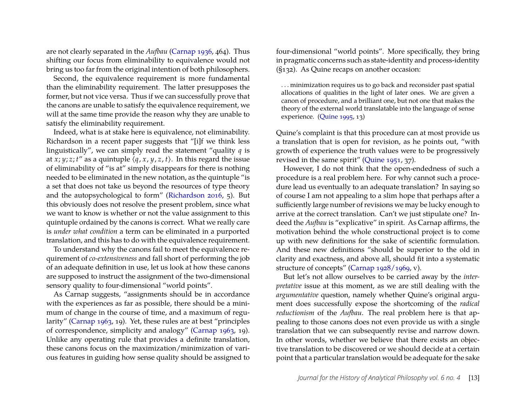are not clearly separated in the *Aufbau* [\(Carnap 1936,](#page-22-17) 464). Thus shifting our focus from eliminability to equivalence would not bring us too far from the original intention of both philosophers.

Second, the equivalence requirement is more fundamental than the eliminability requirement. The latter presupposes the former, but not vice versa. Thus if we can successfully prove that the canons are unable to satisfy the equivalence requirement, we will at the same time provide the reason why they are unable to satisfy the eliminability requirement.

Indeed, what is at stake here is equivalence, not eliminability. Richardson in a recent paper suggests that "[i]f we think less linguistically", we can simply read the statement "quality *q* is at *x*; *y*; *z*; *t*" as a quintuple  $\langle q, x, y, z, t \rangle$ . In this regard the issue of eliminability of "is at" simply disappears for there is nothing needed to be eliminated in the new notation, as the quintuple "is a set that does not take us beyond the resources of type theory and the autopsychological to form" [\(Richardson 2016,](#page-23-9) 5). But this obviously does not resolve the present problem, since what we want to know is whether or not the value assignment to this quintuple ordained by the canons is correct. What we really care is *under what condition* a term can be eliminated in a purported translation, and this has to do with the equivalence requirement.

To understand why the canons fail to meet the equivalence requirement of *co-extensiveness* and fall short of performing the job of an adequate definition in use, let us look at how these canons are supposed to instruct the assignment of the two-dimensional sensory quality to four-dimensional "world points".

As Carnap suggests, "assignments should be in accordance with the experiences as far as possible, there should be a minimum of change in the course of time, and a maximum of regularity" [\(Carnap 1963,](#page-22-5) 19). Yet, these rules are at best "principles of correspondence, simplicity and analogy" [\(Carnap 1963,](#page-22-5) 19). Unlike any operating rule that provides a definite translation, these canons focus on the maximization/minimization of various features in guiding how sense quality should be assigned to four-dimensional "world points". More specifically, they bring in pragmatic concerns such as state-identity and process-identity (§132). As Quine recaps on another occasion:

. . . minimization requires us to go back and reconsider past spatial allocations of qualities in the light of later ones. We are given a canon of procedure, and a brilliant one, but not one that makes the theory of the external world translatable into the language of sense experience. [\(Quine 1995,](#page-23-3) 13)

Quine's complaint is that this procedure can at most provide us a translation that is open for revision, as he points out, "with growth of experience the truth values were to be progressively revised in the same spirit" [\(Quine 1951,](#page-23-1) 37).

However, I do not think that the open-endedness of such a procedure is a real problem here. For why cannot such a procedure lead us eventually to an adequate translation? In saying so of course I am not appealing to a slim hope that perhaps after a sufficiently large number of revisions we may be lucky enough to arrive at the correct translation. Can't we just stipulate one? Indeed the *Aufbau* is "explicative" in spirit. As Carnap affirms, the motivation behind the whole constructional project is to come up with new definitions for the sake of scientific formulation. And these new definitions "should be superior to the old in clarity and exactness, and above all, should fit into a systematic structure of concepts" [\(Carnap 1928/1969,](#page-22-6) v).

But let's not allow ourselves to be carried away by the *interpretative* issue at this moment, as we are still dealing with the *argumentative* question, namely whether Quine's original argument does successfully expose the shortcoming of the *radical reductionism* of the *Aufbau*. The real problem here is that appealing to those canons does not even provide us with a single translation that we can subsequently revise and narrow down. In other words, whether we believe that there exists an objective translation to be discovered or we should decide at a certain point that a particular translation would be adequate for the sake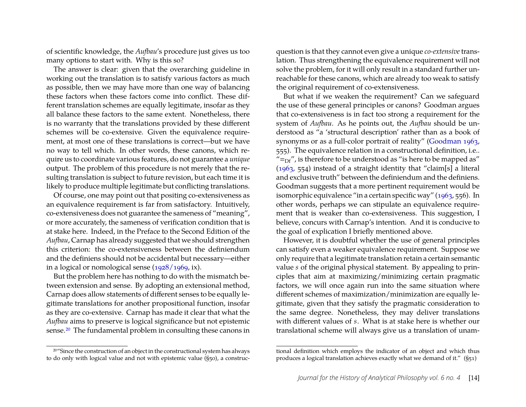of scientific knowledge, the *Aufbau*'s procedure just gives us too many options to start with. Why is this so?

The answer is clear: given that the overarching guideline in working out the translation is to satisfy various factors as much as possible, then we may have more than one way of balancing these factors when these factors come into conflict. These different translation schemes are equally legitimate, insofar as they all balance these factors to the same extent. Nonetheless, there is no warranty that the translations provided by these different schemes will be co-extensive. Given the equivalence requirement, at most one of these translations is correct—but we have no way to tell which. In other words, these canons, which require us to coordinate various features, do not guarantee a *unique* output. The problem of this procedure is not merely that the resulting translation is subject to future revision, but each time it is likely to produce multiple legitimate but conflicting translations.

Of course, one may point out that positing co-extensiveness as an equivalence requirement is far from satisfactory. Intuitively, co-extensiveness does not guarantee the sameness of "meaning", or more accurately, the sameness of verification condition that is at stake here. Indeed, in the Preface to the Second Edition of the *Aufbau*, Carnap has already suggested that we should strengthen this criterion: the co-extensiveness between the definiendum and the definiens should not be accidental but necessary—either in a logical or nomological sense [\(1928/1969,](#page-22-6) ix).

But the problem here has nothing to do with the mismatch between extension and sense. By adopting an extensional method, Carnap does allow statements of different senses to be equally legitimate translations for another propositional function, insofar as they are co-extensive. Carnap has made it clear that what the *Aufbau* aims to preserve is logical significance but not epistemic sense.[20](#page-14-0) The fundamental problem in consulting these canons in question is that they cannot even give a unique *co-extensive* translation. Thus strengthening the equivalence requirement will not solve the problem, for it will only result in a standard further unreachable for these canons, which are already too weak to satisfy the original requirement of co-extensiveness.

But what if we weaken the requirement? Can we safeguard the use of these general principles or canons? Goodman argues that co-extensiveness is in fact too strong a requirement for the system of *Aufbau*. As he points out, the *Aufbau* should be understood as "a 'structural description' rather than as a book of synonyms or as a full-color portrait of reality" [\(Goodman 1963,](#page-22-18) 555). The equivalence relation in a constructional definition, i.e.. " $=$  $Df''$ , is therefore to be understood as "is here to be mapped as" [\(1963,](#page-22-18) 554) instead of a straight identity that "claim[s] a literal and exclusive truth" between the definiendum and the definiens. Goodman suggests that a more pertinent requirement would be isomorphic equivalence "in a certain specific way" [\(1963,](#page-22-18) 556). In other words, perhaps we can stipulate an equivalence requirement that is weaker than co-extensiveness. This suggestion, I believe, concurs with Carnap's intention. And it is conducive to the goal of explication I briefly mentioned above.

However, it is doubtful whether the use of general principles can satisfy even a weaker equivalence requirement. Suppose we only require that a legitimate translation retain a certain semantic value *s* of the original physical statement. By appealing to principles that aim at maximizing/minimizing certain pragmatic factors, we will once again run into the same situation where different schemes of maximization/minimization are equally legitimate, given that they satisfy the pragmatic consideration to the same degree. Nonetheless, they may deliver translations with different values of *s*. What is at stake here is whether our translational scheme will always give us a translation of unam-

<span id="page-14-0"></span><sup>&</sup>lt;sup>20</sup>"Since the construction of an object in the constructional system has always to do only with logical value and not with epistemic value (§50), a construc-

tional definition which employs the indicator of an object and which thus produces a logical translation achieves exactly what we demand of it." (§51)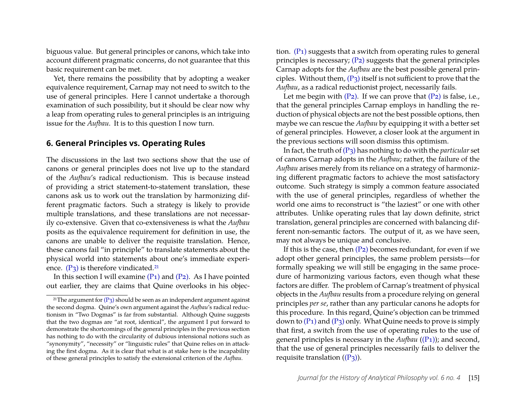biguous value. But general principles or canons, which take into account different pragmatic concerns, do not guarantee that this basic requirement can be met.

Yet, there remains the possibility that by adopting a weaker equivalence requirement, Carnap may not need to switch to the use of general principles. Here I cannot undertake a thorough examination of such possibility, but it should be clear now why a leap from operating rules to general principles is an intriguing issue for the *Aufbau*. It is to this question I now turn.

#### <span id="page-15-0"></span>**6. General Principles vs. Operating Rules**

The discussions in the last two sections show that the use of canons or general principles does not live up to the standard of the *Aufbau*'s radical reductionism. This is because instead of providing a strict statement-to-statement translation, these canons ask us to work out the translation by harmonizing different pragmatic factors. Such a strategy is likely to provide multiple translations, and these translations are not necessarily co-extensive. Given that co-extensiveness is what the *Aufbau* posits as the equivalence requirement for definition in use, the canons are unable to deliver the requisite translation. Hence, these canons fail "in principle" to translate statements about the physical world into statements about one's immediate experience.  $(P_3)$  is therefore vindicated.<sup>[21](#page-15-1)</sup>

In this section I will examine  $(P_1)$  and  $(P_2)$ . As I have pointed out earlier, they are claims that Quine overlooks in his objec-

tion. [\(P1\)](#page-5-1) suggests that a switch from operating rules to general principles is necessary; [\(P2\)](#page-5-2) suggests that the general principles Carnap adopts for the *Aufbau* are the best possible general principles. Without them,  $(P_3)$  itself is not sufficient to prove that the *Aufbau*, as a radical reductionist project, necessarily fails.

Let me begin with  $(P_2)$ . If we can prove that  $(P_2)$  is false, i.e., that the general principles Carnap employs in handling the reduction of physical objects are not the best possible options, then maybe we can rescue the *Aufbau* by equipping it with a better set of general principles. However, a closer look at the argument in the previous sections will soon dismiss this optimism.

In fact, the truth of [\(P3\)](#page-5-0) has nothing to do with the *particular* set of canons Carnap adopts in the *Aufbau*; rather, the failure of the *Aufbau* arises merely from its reliance on a strategy of harmonizing different pragmatic factors to achieve the most satisfactory outcome. Such strategy is simply a common feature associated with the use of general principles, regardless of whether the world one aims to reconstruct is "the laziest" or one with other attributes. Unlike operating rules that lay down definite, strict translation, general principles are concerned with balancing different non-semantic factors. The output of it, as we have seen, may not always be unique and conclusive.

If this is the case, then  $(P_2)$  becomes redundant, for even if we adopt other general principles, the same problem persists—for formally speaking we will still be engaging in the same procedure of harmonizing various factors, even though what these factors are differ. The problem of Carnap's treatment of physical objects in the *Aufbau* results from a procedure relying on general principles *per se*, rather than any particular canons he adopts for this procedure. In this regard, Quine's objection can be trimmed down to  $(P_1)$  and  $(P_3)$  only. What Quine needs to prove is simply that first, a switch from the use of operating rules to the use of general principles is necessary in the *Aufbau* [\(\(P1\)\)](#page-5-1); and second, that the use of general principles necessarily fails to deliver the requisite translation  $((P_3))$ .

<span id="page-15-1"></span><sup>&</sup>lt;sup>21</sup>The argument for  $(P_3)$  should be seen as an independent argument against the second dogma. Quine's own argument against the *Aufbau*'s radical reductionism in "Two Dogmas" is far from substantial. Although Quine suggests that the two dogmas are "at root, identical", the argument I put forward to demonstrate the shortcomings of the general principles in the previous section has nothing to do with the circularity of dubious intensional notions such as "synonymity", "necessity" or "linguistic rules" that Quine relies on in attacking the first dogma. As it is clear that what is at stake here is the incapability of these general principles to satisfy the extensional criterion of the *Aufbau*.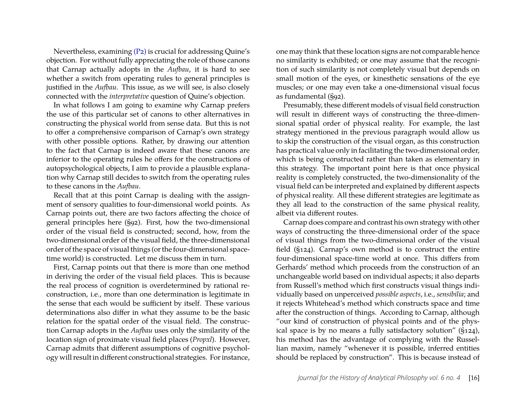Nevertheless, examining [\(P2\)](#page-5-2) is crucial for addressing Quine's objection. For without fully appreciating the role of those canons that Carnap actually adopts in the *Aufbau*, it is hard to see whether a switch from operating rules to general principles is justified in the *Aufbau*. This issue, as we will see, is also closely connected with the *interpretative* question of Quine's objection.

In what follows I am going to examine why Carnap prefers the use of this particular set of canons to other alternatives in constructing the physical world from sense data. But this is not to offer a comprehensive comparison of Carnap's own strategy with other possible options. Rather, by drawing our attention to the fact that Carnap is indeed aware that these canons are inferior to the operating rules he offers for the constructions of autopsychological objects, I aim to provide a plausible explanation why Carnap still decides to switch from the operating rules to these canons in the *Aufbau*.

Recall that at this point Carnap is dealing with the assignment of sensory qualities to four-dimensional world points. As Carnap points out, there are two factors affecting the choice of general principles here (§92). First, how the two-dimensional order of the visual field is constructed; second, how, from the two-dimensional order of the visual field, the three-dimensional order of the space of visual things (or the four-dimensional spacetime world) is constructed. Let me discuss them in turn.

First, Carnap points out that there is more than one method in deriving the order of the visual field places. This is because the real process of cognition is overdetermined by rational reconstruction, i.e., more than one determination is legitimate in the sense that each would be sufficient by itself. These various determinations also differ in what they assume to be the basic relation for the spatial order of the visual field. The construction Carnap adopts in the *Aufbau* uses only the similarity of the location sign of proximate visual field places (*Propxl*). However, Carnap admits that different assumptions of cognitive psychology will result in different constructional strategies. For instance,

one may think that these location signs are not comparable hence no similarity is exhibited; or one may assume that the recognition of such similarity is not completely visual but depends on small motion of the eyes, or kinesthetic sensations of the eye muscles; or one may even take a one-dimensional visual focus as fundamental (§92).

Presumably, these different models of visual field construction will result in different ways of constructing the three-dimensional spatial order of physical reality. For example, the last strategy mentioned in the previous paragraph would allow us to skip the construction of the visual organ, as this construction has practical value only in facilitating the two-dimensional order, which is being constructed rather than taken as elementary in this strategy. The important point here is that once physical reality is completely constructed, the two-dimensionality of the visual field can be interpreted and explained by different aspects of physical reality. All these different strategies are legitimate as they all lead to the construction of the same physical reality, albeit via different routes.

Carnap does compare and contrast his own strategy with other ways of constructing the three-dimensional order of the space of visual things from the two-dimensional order of the visual field (§124). Carnap's own method is to construct the entire four-dimensional space-time world at once. This differs from Gerhards' method which proceeds from the construction of an unchangeable world based on individual aspects; it also departs from Russell's method which first constructs visual things individually based on unperceived *possible aspects*, i.e., *sensibilia*; and it rejects Whitehead's method which constructs space and time after the construction of things. According to Carnap, although "our kind of construction of physical points and of the physical space is by no means a fully satisfactory solution" (§124), his method has the advantage of complying with the Russellian maxim, namely "whenever it is possible, inferred entities should be replaced by construction". This is because instead of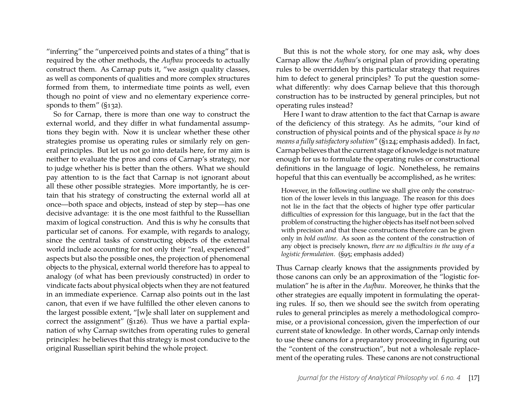"inferring" the "unperceived points and states of a thing" that is required by the other methods, the *Aufbau* proceeds to actually construct them. As Carnap puts it, "we assign quality classes, as well as components of qualities and more complex structures formed from them, to intermediate time points as well, even though no point of view and no elementary experience corresponds to them" (§132).

So for Carnap, there is more than one way to construct the external world, and they differ in what fundamental assumptions they begin with. Now it is unclear whether these other strategies promise us operating rules or similarly rely on general principles. But let us not go into details here, for my aim is neither to evaluate the pros and cons of Carnap's strategy, nor to judge whether his is better than the others. What we should pay attention to is the fact that Carnap is not ignorant about all these other possible strategies. More importantly, he is certain that his strategy of constructing the external world all at once—both space and objects, instead of step by step—has one decisive advantage: it is the one most faithful to the Russellian maxim of logical construction. And this is why he consults that particular set of canons. For example, with regards to analogy, since the central tasks of constructing objects of the external world include accounting for not only their "real, experienced" aspects but also the possible ones, the projection of phenomenal objects to the physical, external world therefore has to appeal to analogy (of what has been previously constructed) in order to vindicate facts about physical objects when they are not featured in an immediate experience. Carnap also points out in the last canon, that even if we have fulfilled the other eleven canons to the largest possible extent, "[w]e shall later on supplement and correct the assignment" (§126). Thus we have a partial explanation of why Carnap switches from operating rules to general principles: he believes that this strategy is most conducive to the original Russellian spirit behind the whole project.

But this is not the whole story, for one may ask, why does Carnap allow the *Aufbau*'s original plan of providing operating rules to be overridden by this particular strategy that requires him to defect to general principles? To put the question somewhat differently: why does Carnap believe that this thorough construction has to be instructed by general principles, but not operating rules instead?

Here I want to draw attention to the fact that Carnap is aware of the deficiency of this strategy. As he admits, "our kind of construction of physical points and of the physical space *is by no means a fully satisfactory solution*" (§124; emphasis added). In fact, Carnap believes that the current stage of knowledge is not mature enough for us to formulate the operating rules or constructional definitions in the language of logic. Nonetheless, he remains hopeful that this can eventually be accomplished, as he writes:

However, in the following outline we shall give only the construction of the lower levels in this language. The reason for this does not lie in the fact that the objects of higher type offer particular difficulties of expression for this language, but in the fact that the problem of constructing the higher objects has itself not been solved with precision and that these constructions therefore can be given only in *bold outline*. As soon as the content of the construction of any object is precisely known, *there are no difficulties in the way of a logistic formulation*. (§95; emphasis added)

Thus Carnap clearly knows that the assignments provided by those canons can only be an approximation of the "logistic formulation" he is after in the *Aufbau*. Moreover, he thinks that the other strategies are equally impotent in formulating the operating rules. If so, then we should see the switch from operating rules to general principles as merely a methodological compromise, or a provisional concession, given the imperfection of our current state of knowledge. In other words, Carnap only intends to use these canons for a preparatory proceeding in figuring out the "content of the construction", but not a wholesale replacement of the operating rules. These canons are not constructional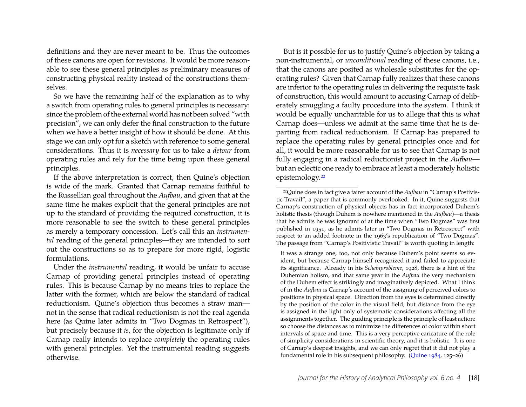definitions and they are never meant to be. Thus the outcomes of these canons are open for revisions. It would be more reasonable to see these general principles as preliminary measures of constructing physical reality instead of the constructions themselves.

So we have the remaining half of the explanation as to why a switch from operating rules to general principles is necessary: since the problem of the external world has not been solved "with precision", we can only defer the final construction to the future when we have a better insight of how it should be done. At this stage we can only opt for a sketch with reference to some general considerations. Thus it is *necessary* for us to take a *detour* from operating rules and rely for the time being upon these general principles.

If the above interpretation is correct, then Quine's objection is wide of the mark. Granted that Carnap remains faithful to the Russellian goal throughout the *Aufbau*, and given that at the same time he makes explicit that the general principles are not up to the standard of providing the required construction, it is more reasonable to see the switch to these general principles as merely a temporary concession. Let's call this an *instrumental* reading of the general principles—they are intended to sort out the constructions so as to prepare for more rigid, logistic formulations.

Under the *instrumental* reading, it would be unfair to accuse Carnap of providing general principles instead of operating rules. This is because Carnap by no means tries to replace the latter with the former, which are below the standard of radical reductionism. Quine's objection thus becomes a straw man not in the sense that radical reductionism is not the real agenda here (as Quine later admits in "Two Dogmas in Retrospect"), but precisely because it *is*, for the objection is legitimate only if Carnap really intends to replace *completely* the operating rules with general principles. Yet the instrumental reading suggests otherwise.

But is it possible for us to justify Quine's objection by taking a non-instrumental, or *unconditional* reading of these canons, i.e., that the canons are posited as wholesale substitutes for the operating rules? Given that Carnap fully realizes that these canons are inferior to the operating rules in delivering the requisite task of construction, this would amount to accusing Carnap of deliberately smuggling a faulty procedure into the system. I think it would be equally uncharitable for us to allege that this is what Carnap does—unless we admit at the same time that he is departing from radical reductionism. If Carnap has prepared to replace the operating rules by general principles once and for all, it would be more reasonable for us to see that Carnap is not fully engaging in a radical reductionist project in the *Aufbau* but an eclectic one ready to embrace at least a moderately holistic epistemology.[22](#page-18-0)

It was a strange one, too, not only because Duhem's point seems so evident, but because Carnap himself recognized it and failed to appreciate its significance. Already in his *Scheinprobleme*, 1928, there is a hint of the Duhemian holism, and that same year in the *Aufbau* the very mechanism of the Duhem effect is strikingly and imaginatively depicted. What I think of in the *Aufbau* is Carnap's account of the assigning of perceived colors to positions in physical space. Direction from the eyes is determined directly by the position of the color in the visual field, but distance from the eye is assigned in the light only of systematic considerations affecting all the assignments together. The guiding principle is the principle of least action: so choose the distances as to minimize the differences of color within short intervals of space and time. This is a very perceptive caricature of the role of simplicity considerations in scientific theory, and it is holistic. It is one of Carnap's deepest insights, and we can only regret that it did not play a fundamental role in his subsequent philosophy. [\(Quine 1984,](#page-23-5) 125–26)

<span id="page-18-0"></span><sup>22</sup>Quine does in fact give a fairer account of the *Aufbau* in "Carnap's Postivistic Travail", a paper that is commonly overlooked. In it, Quine suggests that Carnap's construction of physical objects has in fact incorporated Duhem's holistic thesis (though Duhem is nowhere mentioned in the *Aufbau*)—a thesis that he admits he was ignorant of at the time when "Two Dogmas" was first published in 1951, as he admits later in "Two Dogmas in Retrospect" with respect to an added footnote in the 1963's republication of "Two Dogmas". The passage from "Carnap's Positivistic Travail" is worth quoting in length: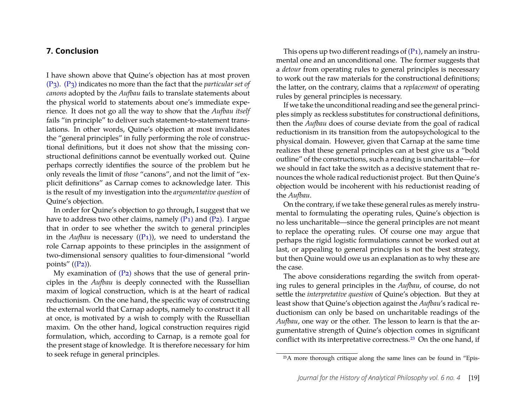#### <span id="page-19-0"></span>**7. Conclusion**

I have shown above that Quine's objection has at most proven [\(P3\).](#page-5-0) [\(P3\)](#page-5-0) indicates no more than the fact that the *particular set of canons* adopted by the *Aufbau* fails to translate statements about the physical world to statements about one's immediate experience. It does not go all the way to show that the *Aufbau itself* fails "in principle" to deliver such statement-to-statement translations. In other words, Quine's objection at most invalidates the "general principles" in fully performing the role of constructional definitions, but it does not show that the missing constructional definitions cannot be eventually worked out. Quine perhaps correctly identifies the source of the problem but he only reveals the limit of *those* "canons", and not the limit of "explicit definitions" as Carnap comes to acknowledge later. This is the result of my investigation into the *argumentative question* of Quine's objection.

In order for Quine's objection to go through, I suggest that we have to address two other claims, namely  $(P_1)$  and  $(P_2)$ . I argue that in order to see whether the switch to general principles in the *Aufbau* is necessary  $((P_1))$ , we need to understand the role Carnap appoints to these principles in the assignment of two-dimensional sensory qualities to four-dimensional "world points"  $((P<sub>2</sub>)).$ 

My examination of [\(P2\)](#page-5-2) shows that the use of general principles in the *Aufbau* is deeply connected with the Russellian maxim of logical construction, which is at the heart of radical reductionism. On the one hand, the specific way of constructing the external world that Carnap adopts, namely to construct it all at once, is motivated by a wish to comply with the Russellian maxim. On the other hand, logical construction requires rigid formulation, which, according to Carnap, is a remote goal for the present stage of knowledge. It is therefore necessary for him to seek refuge in general principles.

This opens up two different readings of  $(P_1)$ , namely an instrumental one and an unconditional one. The former suggests that a *detour* from operating rules to general principles is necessary to work out the raw materials for the constructional definitions; the latter, on the contrary, claims that a *replacement* of operating rules by general principles is necessary.

If we take the unconditional reading and see the general principles simply as reckless substitutes for constructional definitions, then the *Aufbau* does of course deviate from the goal of radical reductionism in its transition from the autopsychological to the physical domain. However, given that Carnap at the same time realizes that these general principles can at best give us a "bold outline" of the constructions, such a reading is uncharitable—for we should in fact take the switch as a decisive statement that renounces the whole radical reductionist project. But then Quine's objection would be incoherent with his reductionist reading of the *Aufbau*.

On the contrary, if we take these general rules as merely instrumental to formulating the operating rules, Quine's objection is no less uncharitable—since the general principles are not meant to replace the operating rules. Of course one may argue that perhaps the rigid logistic formulations cannot be worked out at last, or appealing to general principles is not the best strategy, but then Quine would owe us an explanation as to why these are the case.

The above considerations regarding the switch from operating rules to general principles in the *Aufbau*, of course, do not settle the *interpretative question* of Quine's objection. But they at least show that Quine's objection against the *Aufbau*'s radical reductionism can only be based on uncharitable readings of the *Aufbau*, one way or the other. The lesson to learn is that the argumentative strength of Quine's objection comes in significant conflict with its interpretative correctness.<sup>[23](#page-19-1)</sup> On the one hand, if

<span id="page-19-1"></span><sup>&</sup>lt;sup>23</sup>A more thorough critique along the same lines can be found in "Epis-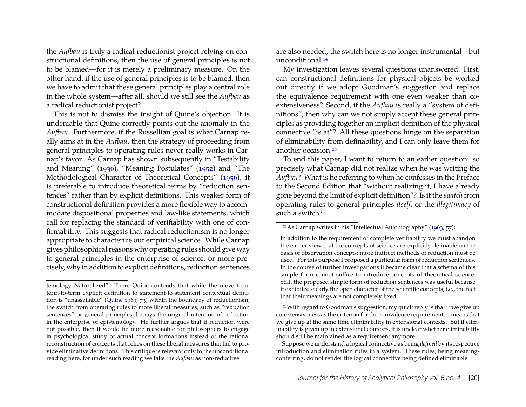the *Aufbau* is truly a radical reductionist project relying on constructional definitions, then the use of general principles is not to be blamed—for it is merely a preliminary measure. On the other hand, if the use of general principles is to be blamed, then we have to admit that these general principles play a central role in the whole system—after all, should we still see the *Aufbau* as a radical reductionist project?

This is not to dismiss the insight of Quine's objection. It is undeniable that Quine correctly points out the anomaly in the *Aufbau*. Furthermore, if the Russellian goal is what Carnap really aims at in the *Aufbau*, then the strategy of proceeding from general principles to operating rules never really works in Carnap's favor. As Carnap has shown subsequently in "Testability and Meaning" [\(1936\)](#page-22-17), "Meaning Postulates" [\(1952\)](#page-22-15) and "The Methodological Character of Theoretical Concepts" [\(1956\)](#page-22-19), it is preferable to introduce theoretical terms by "reduction sentences" rather than by explicit definitions. This weaker form of constructional definition provides a more flexible way to accommodate dispositional properties and law-like statements, which call for replacing the standard of verifiability with one of confirmability. This suggests that radical reductionism is no longer appropriate to characterize our empirical science. While Carnap gives philosophical reasons why operating rules should give way to general principles in the enterprise of science, or more precisely, why in addition to explicit definitions, reduction sentences are also needed, the switch here is no longer instrumental—but unconditional.[24](#page-20-0)

My investigation leaves several questions unanswered. First, can constructional definitions for physical objects be worked out directly if we adopt Goodman's suggestion and replace the equivalence requirement with one even weaker than coextensiveness? Second, if the *Aufbau* is really a "system of definitions", then why can we not simply accept these general principles as providing together an implicit definition of the physical connective "is at"? All these questions hinge on the separation of eliminability from definability, and I can only leave them for another occasion.[25](#page-20-1)

To end this paper, I want to return to an earlier question: so precisely what Carnap did not realize when he was writing the *Aufbau*? What is he referring to when he confesses in the Preface to the Second Edition that "without realizing it, I have already gone beyond the limit of explicit definition"? Is it the *switch* from operating rules to general principles *itself*, or the *illegitimacy* of such a switch?

<span id="page-20-1"></span>25With regard to Goodman's suggestion, my quick reply is that if we give up co-extensiveness as the criterion for the equivalence requirement, it means that we give up at the same time eliminability in extensional contexts. But if eliminability is given up in extensional contexts, it is unclear whether eliminability should still be maintained as a requirement anymore.

temology Naturalized". There Quine contends that while the move from term-to-term explicit definition to statement-to-statement contextual definition is "unassailable" [\(Quine 1969,](#page-23-2) 73) within the boundary of reductionism, the switch from operating rules to more liberal measures, such as "reduction sentences" or general principles, betrays the original intention of reduction in the enterprise of epistemology. He further argues that if reduction were not possible, then it would be more reasonable for philosophers to engage in psychological study of actual concept formations instead of the rational reconstruction of concepts that relies on these liberal measures that fail to provide eliminative definitions. This critique is relevant only to the unconditional reading here, for under such reading we take the *Aufbau* as non-reductive.

<span id="page-20-0"></span><sup>&</sup>lt;sup>24</sup>As Carnap writes in his "Intellectual Autobiography" [\(1963,](#page-22-5) 57):

In addition to the requirement of complete verifiability we must abandon the earlier view that the concepts of science are explicitly definable on the basis of observation concepts; more indirect methods of reduction must be used. For this purpose I proposed a particular form of reduction sentences. In the course of further investigations it became clear that a schema of this simple form cannot suffice to introduce concepts of theoretical science. Still, the proposed simple form of reduction sentences was useful because it exhibited clearly the open character of the scientific concepts, i.e., the fact that their meanings are not completely fixed.

Suppose we understand a logical connective as being *defined* by its respective introduction and elimination rules in a system. These rules, being meaningconferring, do not render the logical connective being defined eliminable.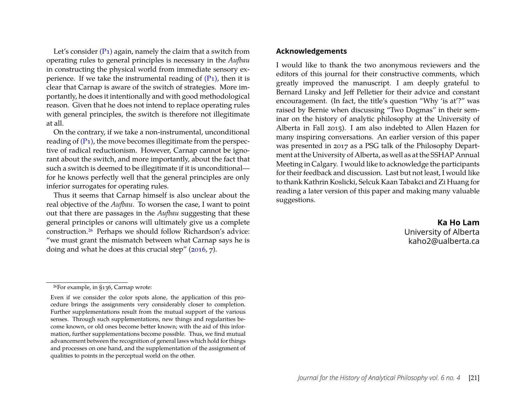Let's consider  $(P_1)$  again, namely the claim that a switch from operating rules to general principles is necessary in the *Aufbau* in constructing the physical world from immediate sensory experience. If we take the instrumental reading of  $(P_1)$ , then it is clear that Carnap is aware of the switch of strategies. More importantly, he does it intentionally and with good methodological reason. Given that he does not intend to replace operating rules with general principles, the switch is therefore not illegitimate at all.

On the contrary, if we take a non-instrumental, unconditional reading of  $(P_1)$ , the move becomes illegitimate from the perspective of radical reductionism. However, Carnap cannot be ignorant about the switch, and more importantly, about the fact that such a switch is deemed to be illegitimate if it is unconditional for he knows perfectly well that the general principles are only inferior surrogates for operating rules.

Thus it seems that Carnap himself is also unclear about the real objective of the *Aufbau*. To worsen the case, I want to point out that there are passages in the *Aufbau* suggesting that these general principles or canons will ultimately give us a complete construction.[26](#page-21-0) Perhaps we should follow Richardson's advice: "we must grant the mismatch between what Carnap says he is doing and what he does at this crucial step" [\(2016,](#page-23-9) 7).

#### <span id="page-21-0"></span>26For example, in §136, Carnap wrote:

#### **Acknowledgements**

I would like to thank the two anonymous reviewers and the editors of this journal for their constructive comments, which greatly improved the manuscript. I am deeply grateful to Bernard Linsky and Jeff Pelletier for their advice and constant encouragement. (In fact, the title's question "Why 'is at'?" was raised by Bernie when discussing "Two Dogmas" in their seminar on the history of analytic philosophy at the University of Alberta in Fall 2015). I am also indebted to Allen Hazen for many inspiring conversations. An earlier version of this paper was presented in 2017 as a PSG talk of the Philosophy Department at the University of Alberta, as well as at the SSHAP Annual Meeting in Calgary. I would like to acknowledge the participants for their feedback and discussion. Last but not least, I would like to thank Kathrin Koslicki, Selcuk Kaan Tabakci and Zi Huang for reading a later version of this paper and making many valuable suggestions.

#### **Ka Ho Lam** University of Alberta kaho2@ualberta.ca

Even if we consider the color spots alone, the application of this procedure brings the assignments very considerably closer to completion. Further supplementations result from the mutual support of the various senses. Through such supplementations, new things and regularities become known, or old ones become better known; with the aid of this information, further supplementations become possible. Thus, we find mutual advancement between the recognition of general laws which hold for things and processes on one hand, and the supplementation of the assignment of qualities to points in the perceptual world on the other.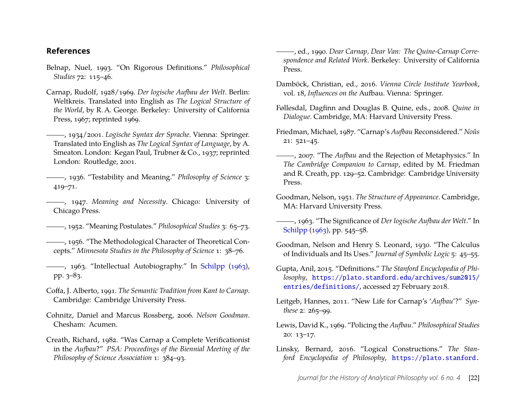#### **References**

- <span id="page-22-16"></span>Belnap, Nuel, 1993. "On Rigorous Definitions." *Philosophical Studies* 72: 115–46.
- <span id="page-22-6"></span>Carnap, Rudolf, 1928/1969. *Der logische Aufbau der Welt*. Berlin: Weltkreis. Translated into English as *The Logical Structure of the World*, by R. A. George. Berkeley: University of California Press, 1967; reprinted 1969.

<span id="page-22-13"></span>, 1934/2001. *Logische Syntax der Sprache*. Vienna: Springer. Translated into English as *The Logical Syntax of Language*, by A. Smeaton. London: Kegan Paul, Trubner & Co., 1937; reprinted London: Routledge, 2001.

- <span id="page-22-17"></span>, 1936. "Testability and Meaning." *Philosophy of Science* 3: 419–71.
- <span id="page-22-14"></span>, 1947. *Meaning and Necessity*. Chicago: University of Chicago Press.
- <span id="page-22-15"></span>, 1952. "Meaning Postulates." *Philosophical Studies* 3: 65–73.
- <span id="page-22-19"></span>, 1956. "The Methodological Character of Theoretical Concepts." *Minnesota Studies in the Philosophy of Science* 1: 38–76.
- <span id="page-22-5"></span>(1963), 1963. "Intellectual Autobiography." In [Schilpp](#page-23-13) [\(1963\)](#page-23-13), pp. 3–83.
- <span id="page-22-3"></span>Coffa, J. Alberto, 1991. *The Semantic Tradition from Kant to Carnap*. Cambridge: Cambridge University Press.
- <span id="page-22-1"></span>Cohnitz, Daniel and Marcus Rossberg, 2006. *Nelson Goodman*. Chesham: Acumen.
- <span id="page-22-8"></span>Creath, Richard, 1982. "Was Carnap a Complete Verificationist in the *Aufbau*?" *PSA: Proceedings of the Biennial Meeting of the Philosophy of Science Association* 1: 384–93.

<span id="page-22-9"></span>, ed., 1990. *Dear Carnap, Dear Van: The Quine-Carnap Correspondence and Related Work*. Berkeley: University of California Press.

- <span id="page-22-20"></span>Damböck, Christian, ed., 2016. *Vienna Circle Institute Yearbook*, vol. 18, *Influences on the* Aufbau. Vienna: Springer.
- <span id="page-22-21"></span>Føllesdal, Dagfinn and Douglas B. Quine, eds., 2008. *Quine in Dialogue*. Cambridge, MA: Harvard University Press.
- <span id="page-22-7"></span>Friedman, Michael, 1987. "Carnap's *Aufbau* Reconsidered." *Noûs* 21: 521–45.
- <span id="page-22-4"></span>, 2007. "The *Aufbau* and the Rejection of Metaphysics." In *The Cambridge Companion to Carnap*, edited by M. Friedman and R. Creath, pp. 129–52. Cambridge: Cambridge University Press.
- Goodman, Nelson, 1951. *The Structure of Appearance*. Cambridge, MA: Harvard University Press.
- <span id="page-22-18"></span>, 1963. "The Significance of *Der logische Aufbau der Welt*." In [Schilpp](#page-23-13) [\(1963\)](#page-23-13), pp. 545–58.
- <span id="page-22-0"></span>Goodman, Nelson and Henry S. Leonard, 1930. "The Calculus of Individuals and Its Uses." *Journal of Symbolic Logic* 5: 45–55.
- <span id="page-22-12"></span>Gupta, Anil, 2015. "Definitions." *The Stanford Encyclopedia of Philosophy*, [https://plato.stanford.edu/archives/sum2015/](https://plato.stanford.edu/archives/sum2015/entries/definitions/) [entries/definitions/](https://plato.stanford.edu/archives/sum2015/entries/definitions/), accessed 27 February 2018.
- <span id="page-22-11"></span>Leitgeb, Hannes, 2011. "New Life for Carnap's '*Aufbau*'?" *Synthese* 2: 265–99.
- <span id="page-22-2"></span>Lewis, David K., 1969. "Policing the *Aufbau*." *Philosophical Studies* 20: 13–17.
- <span id="page-22-10"></span>Linsky, Bernard, 2016. "Logical Constructions." *The Stanford Encyclopedia of Philosophy*, [https://plato.stanford.](https://plato.stanford.edu/archives/win2016/entries/logical-construction/)